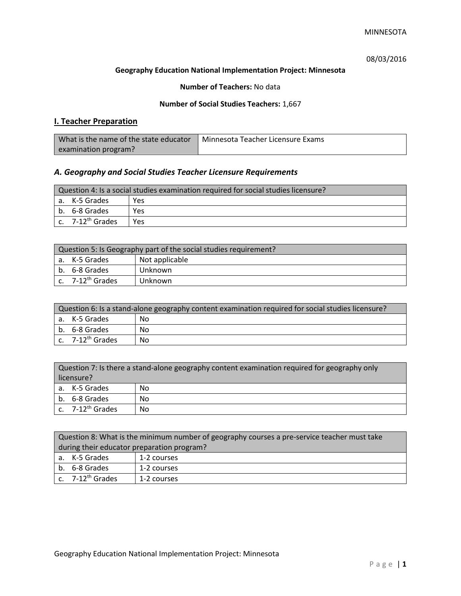08/03/2016

### **Geography Education National Implementation Project: Minnesota**

**Number of Teachers:** No data

### **Number of Social Studies Teachers:** 1,667

# **I. Teacher Preparation**

| What is the name of the state educator | ¶ Minnesota Teacher Licensure Exams |
|----------------------------------------|-------------------------------------|
| examination program?                   |                                     |

## *A. Geography and Social Studies Teacher Licensure Requirements*

| Question 4: Is a social studies examination required for social studies licensure? |                       |     |  |
|------------------------------------------------------------------------------------|-----------------------|-----|--|
|                                                                                    | l a. K-5 Grades       | Yes |  |
|                                                                                    | l b. 6-8 Grades       | Yes |  |
|                                                                                    | c. $7-12^{th}$ Grades | Yes |  |

| Question 5: Is Geography part of the social studies requirement? |                       |                |  |
|------------------------------------------------------------------|-----------------------|----------------|--|
|                                                                  | a. K-5 Grades         | Not applicable |  |
|                                                                  | b. 6-8 Grades         | Unknown        |  |
|                                                                  | c. $7-12^{th}$ Grades | Unknown        |  |

| Question 6: Is a stand-alone geography content examination required for social studies licensure? |                              |    |  |
|---------------------------------------------------------------------------------------------------|------------------------------|----|--|
|                                                                                                   | a. K-5 Grades                | No |  |
|                                                                                                   | b. 6-8 Grades                | No |  |
|                                                                                                   | c. 7-12 <sup>th</sup> Grades | No |  |

| Question 7: Is there a stand-alone geography content examination required for geography only<br>licensure? |                       |    |
|------------------------------------------------------------------------------------------------------------|-----------------------|----|
|                                                                                                            | a. K-5 Grades         | No |
|                                                                                                            | b. 6-8 Grades         | No |
|                                                                                                            | c. $7-12^{th}$ Grades | No |

| Question 8: What is the minimum number of geography courses a pre-service teacher must take |                                      |             |
|---------------------------------------------------------------------------------------------|--------------------------------------|-------------|
| during their educator preparation program?                                                  |                                      |             |
|                                                                                             | a. K-5 Grades                        | 1-2 courses |
|                                                                                             | b. 6-8 Grades                        | 1-2 courses |
|                                                                                             | $\vert$ c. 7-12 <sup>th</sup> Grades | 1-2 courses |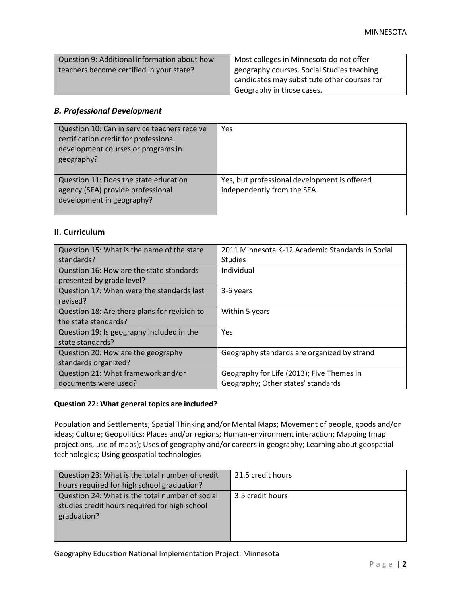| Question 9: Additional information about how | Most colleges in Minnesota do not offer     |
|----------------------------------------------|---------------------------------------------|
| teachers become certified in your state?     | geography courses. Social Studies teaching  |
|                                              | candidates may substitute other courses for |
|                                              | Geography in those cases.                   |

### *B. Professional Development*

| Question 10: Can in service teachers receive<br>certification credit for professional<br>development courses or programs in<br>geography? | Yes                                                                        |
|-------------------------------------------------------------------------------------------------------------------------------------------|----------------------------------------------------------------------------|
| Question 11: Does the state education<br>agency (SEA) provide professional<br>development in geography?                                   | Yes, but professional development is offered<br>independently from the SEA |

### **II. Curriculum**

| Question 15: What is the name of the state<br>standards?              | 2011 Minnesota K-12 Academic Standards in Social<br><b>Studies</b>              |
|-----------------------------------------------------------------------|---------------------------------------------------------------------------------|
| Question 16: How are the state standards<br>presented by grade level? | Individual                                                                      |
| Question 17: When were the standards last<br>revised?                 | 3-6 years                                                                       |
| Question 18: Are there plans for revision to<br>the state standards?  | Within 5 years                                                                  |
| Question 19: Is geography included in the<br>state standards?         | Yes                                                                             |
| Question 20: How are the geography<br>standards organized?            | Geography standards are organized by strand                                     |
| Question 21: What framework and/or<br>documents were used?            | Geography for Life (2013); Five Themes in<br>Geography; Other states' standards |

## **Question 22: What general topics are included?**

Population and Settlements; Spatial Thinking and/or Mental Maps; Movement of people, goods and/or ideas; Culture; Geopolitics; Places and/or regions; Human-environment interaction; Mapping (map projections, use of maps); Uses of geography and/or careers in geography; Learning about geospatial technologies; Using geospatial technologies

| Question 23: What is the total number of credit<br>hours required for high school graduation?                   | 21.5 credit hours |
|-----------------------------------------------------------------------------------------------------------------|-------------------|
| Question 24: What is the total number of social<br>studies credit hours required for high school<br>graduation? | 3.5 credit hours  |